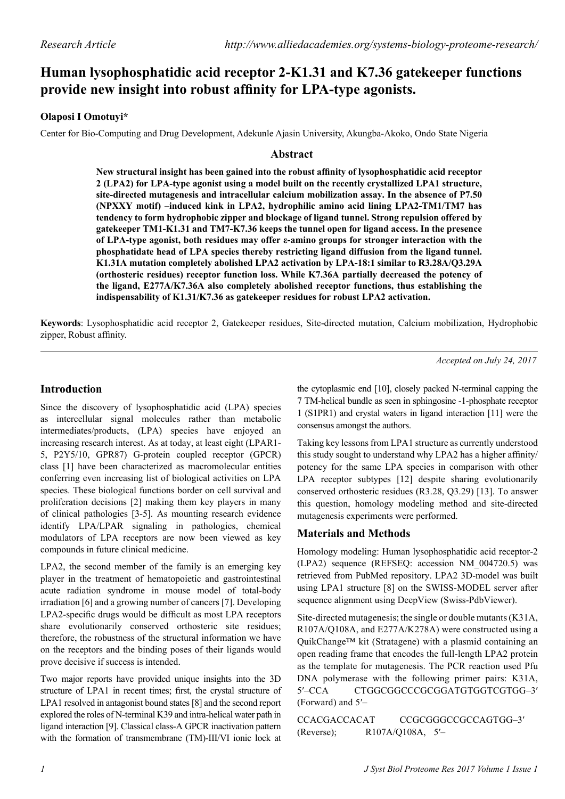# **Human lysophosphatidic acid receptor 2-K1.31 and K7.36 gatekeeper functions provide new insight into robust affinity for LPA-type agonists.**

# **Olaposi I Omotuyi\***

Center for Bio-Computing and Drug Development, Adekunle Ajasin University, Akungba-Akoko, Ondo State Nigeria

### **Abstract**

**New structural insight has been gained into the robust affinity of lysophosphatidic acid receptor 2 (LPA2) for LPA-type agonist using a model built on the recently crystallized LPA1 structure, site-directed mutagenesis and intracellular calcium mobilization assay. In the absence of P7.50 (NPXXY motif) –induced kink in LPA2, hydrophilic amino acid lining LPA2-TM1/TM7 has tendency to form hydrophobic zipper and blockage of ligand tunnel. Strong repulsion offered by gatekeeper TM1-K1.31 and TM7-K7.36 keeps the tunnel open for ligand access. In the presence of LPA-type agonist, both residues may offer ε-amino groups for stronger interaction with the phosphatidate head of LPA species thereby restricting ligand diffusion from the ligand tunnel. K1.31A mutation completely abolished LPA2 activation by LPA-18:1 similar to R3.28A/Q3.29A (orthosteric residues) receptor function loss. While K7.36A partially decreased the potency of the ligand, E277A/K7.36A also completely abolished receptor functions, thus establishing the indispensability of K1.31/K7.36 as gatekeeper residues for robust LPA2 activation.**

**Keywords**: Lysophosphatidic acid receptor 2, Gatekeeper residues, Site-directed mutation, Calcium mobilization, Hydrophobic zipper, Robust affinity.

*Accepted on July 24, 2017*

## **Introduction**

Since the discovery of lysophosphatidic acid (LPA) species as intercellular signal molecules rather than metabolic intermediates/products, (LPA) species have enjoyed an increasing research interest. As at today, at least eight (LPAR1- 5, P2Y5/10, GPR87) G-protein coupled receptor (GPCR) class [1] have been characterized as macromolecular entities conferring even increasing list of biological activities on LPA species. These biological functions border on cell survival and proliferation decisions [2] making them key players in many of clinical pathologies [3-5]. As mounting research evidence identify LPA/LPAR signaling in pathologies, chemical modulators of LPA receptors are now been viewed as key compounds in future clinical medicine.

LPA2, the second member of the family is an emerging key player in the treatment of hematopoietic and gastrointestinal acute radiation syndrome in mouse model of total-body irradiation [6] and a growing number of cancers [7]. Developing LPA2-specific drugs would be difficult as most LPA receptors share evolutionarily conserved orthosteric site residues; therefore, the robustness of the structural information we have on the receptors and the binding poses of their ligands would prove decisive if success is intended.

Two major reports have provided unique insights into the 3D structure of LPA1 in recent times; first, the crystal structure of LPA1 resolved in antagonist bound states [8] and the second report explored the roles of N-terminal K39 and intra-helical water path in ligand interaction [9]. Classical class-A GPCR inactivation pattern with the formation of transmembrane (TM)-III/VI ionic lock at the cytoplasmic end [10], closely packed N-terminal capping the 7 TM-helical bundle as seen in sphingosine -1-phosphate receptor 1 (S1PR1) and crystal waters in ligand interaction [11] were the consensus amongst the authors.

Taking key lessons from LPA1 structure as currently understood this study sought to understand why LPA2 has a higher affinity/ potency for the same LPA species in comparison with other LPA receptor subtypes [12] despite sharing evolutionarily conserved orthosteric residues (R3.28, Q3.29) [13]. To answer this question, homology modeling method and site-directed mutagenesis experiments were performed.

### **Materials and Methods**

Homology modeling: Human lysophosphatidic acid receptor-2 (LPA2) sequence (REFSEQ: accession NM\_004720.5) was retrieved from PubMed repository. LPA2 3D-model was built using LPA1 structure [8] on the SWISS-MODEL server after sequence alignment using DeepView (Swiss-PdbViewer).

Site-directed mutagenesis; the single or double mutants (K31A, R107A/Q108A, and E277A/K278A) were constructed using a QuikChange™ kit (Stratagene) with a plasmid containing an open reading frame that encodes the full-length LPA2 protein as the template for mutagenesis. The PCR reaction used Pfu DNA polymerase with the following primer pairs: K31A, 5′–CCA CTGGCGGCCCGCGGATGTGGTCGTGG–3′ (Forward) and 5′–

CCACGACCACAT CCGCGGGCCGCCAGTGG–3′ (Reverse); R107A/Q108A, 5′–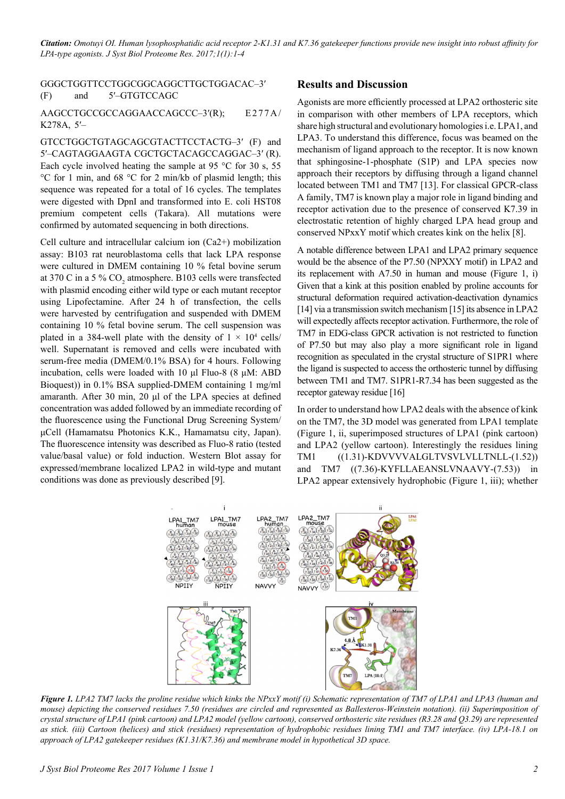*Citation: Omotuyi OI. Human lysophosphatidic acid receptor 2-K1.31 and K7.36 gatekeeper functions provide new insight into robust affinity for LPA-type agonists. J Syst Biol Proteome Res. 2017;1(1):1-4*

GGGCTGGTTCCTGGCGGCAGGCTTGCTGGACAC–3′ (F) and 5′–GTGTCCAGC

#### AAGCCTGCCGCCAGGAACCAGCCC–3'(R); E277A/ K278A, 5′–

GTCCTGGCTGTAGCAGCGTACTTCCTACTG–3′ (F) and 5′–CAGTAGGAAGTA CGCTGCTACAGCCAGGAC–3′ (R). Each cycle involved heating the sample at 95  $\degree$ C for 30 s, 55 °C for 1 min, and 68 °C for 2 min/kb of plasmid length; this sequence was repeated for a total of 16 cycles. The templates were digested with DpnI and transformed into E. coli HST08 premium competent cells (Takara). All mutations were confirmed by automated sequencing in both directions.

Cell culture and intracellular calcium ion (Ca2+) mobilization assay: B103 rat neuroblastoma cells that lack LPA response were cultured in DMEM containing 10 % fetal bovine serum at 370 C in a 5 %  $CO_2$  atmosphere. B103 cells were transfected with plasmid encoding either wild type or each mutant receptor using Lipofectamine. After 24 h of transfection, the cells were harvested by centrifugation and suspended with DMEM containing 10 % fetal bovine serum. The cell suspension was plated in a 384-well plate with the density of  $1 \times 10^4$  cells/ well. Supernatant is removed and cells were incubated with serum-free media (DMEM/0.1% BSA) for 4 hours. Following incubation, cells were loaded with 10 μl Fluo-8 (8 μM: ABD Bioquest)) in 0.1% BSA supplied-DMEM containing 1 mg/ml amaranth. After 30 min, 20 μl of the LPA species at defined concentration was added followed by an immediate recording of the fluorescence using the Functional Drug Screening System/ μCell (Hamamatsu Photonics K.K., Hamamatsu city, Japan). The fluorescence intensity was described as Fluo-8 ratio (tested value/basal value) or fold induction. Western Blot assay for expressed/membrane localized LPA2 in wild-type and mutant conditions was done as previously described [9].

#### **Results and Discussion**

Agonists are more efficiently processed at LPA2 orthosteric site in comparison with other members of LPA receptors, which share high structural and evolutionary homologies i.e. LPA1, and LPA3. To understand this difference, focus was beamed on the mechanism of ligand approach to the receptor. It is now known that sphingosine-1-phosphate (S1P) and LPA species now approach their receptors by diffusing through a ligand channel located between TM1 and TM7 [13]. For classical GPCR-class A family, TM7 is known play a major role in ligand binding and receptor activation due to the presence of conserved K7.39 in electrostatic retention of highly charged LPA head group and conserved NPxxY motif which creates kink on the helix [8].

A notable difference between LPA1 and LPA2 primary sequence would be the absence of the P7.50 (NPXXY motif) in LPA2 and its replacement with A7.50 in human and mouse (Figure 1, i) Given that a kink at this position enabled by proline accounts for structural deformation required activation-deactivation dynamics [14] via a transmission switch mechanism [15] its absence in LPA2 will expectedly affects receptor activation. Furthermore, the role of TM7 in EDG-class GPCR activation is not restricted to function of P7.50 but may also play a more significant role in ligand recognition as speculated in the crystal structure of S1PR1 where the ligand is suspected to access the orthosteric tunnel by diffusing between TM1 and TM7. S1PR1-R7.34 has been suggested as the receptor gateway residue [16]

In order to understand how LPA2 deals with the absence of kink on the TM7, the 3D model was generated from LPA1 template (Figure 1, ii, superimposed structures of LPA1 (pink cartoon) and LPA2 (yellow cartoon). Interestingly the residues lining TM1 ((1.31)-KDVVVVALGLTVSVLVLLTNLL-(1.52)) and TM7 ((7.36)-KYFLLAEANSLVNAAVY-(7.53)) in LPA2 appear extensively hydrophobic (Figure 1, iii); whether



*Figure 1. LPA2 TM7 lacks the proline residue which kinks the NPxxY motif (i) Schematic representation of TM7 of LPA1 and LPA3 (human and mouse) depicting the conserved residues 7.50 (residues are circled and represented as Ballesteros-Weinstein notation). (ii) Superimposition of crystal structure of LPA1 (pink cartoon) and LPA2 model (yellow cartoon), conserved orthosteric site residues (R3.28 and Q3.29) are represented as stick. (iii) Cartoon (helices) and stick (residues) representation of hydrophobic residues lining TM1 and TM7 interface. (iv) LPA-18.1 on approach of LPA2 gatekeeper residues (K1.31/K7.36) and membrane model in hypothetical 3D space.*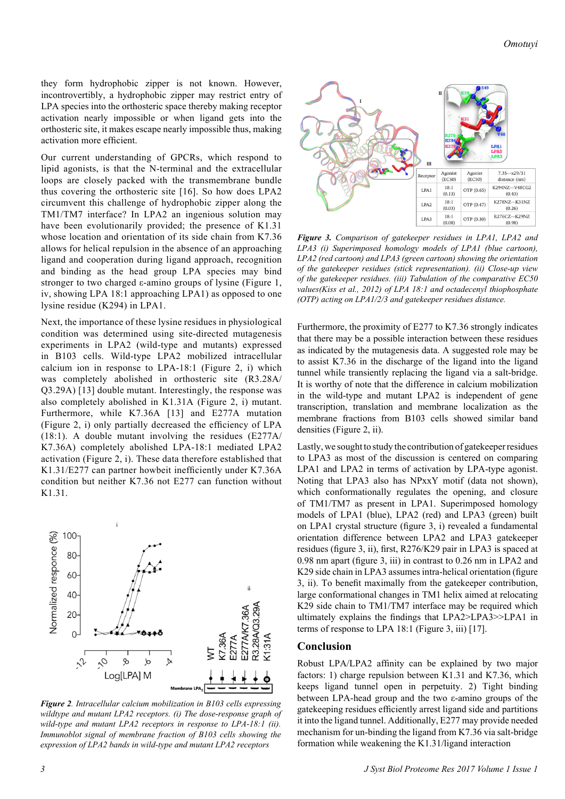they form hydrophobic zipper is not known. However, incontrovertibly, a hydrophobic zipper may restrict entry of LPA species into the orthosteric space thereby making receptor activation nearly impossible or when ligand gets into the orthosteric site, it makes escape nearly impossible thus, making activation more efficient.

Our current understanding of GPCRs, which respond to lipid agonists, is that the N-terminal and the extracellular loops are closely packed with the transmembrane bundle thus covering the orthosteric site [16]. So how does LPA2 circumvent this challenge of hydrophobic zipper along the TM1/TM7 interface? In LPA2 an ingenious solution may have been evolutionarily provided; the presence of K1.31 whose location and orientation of its side chain from K7.36 allows for helical repulsion in the absence of an approaching ligand and cooperation during ligand approach, recognition and binding as the head group LPA species may bind stronger to two charged ε-amino groups of lysine (Figure 1, iv, showing LPA 18:1 approaching LPA1) as opposed to one lysine residue (K294) in LPA1.

Next, the importance of these lysine residues in physiological condition was determined using site-directed mutagenesis experiments in LPA2 (wild-type and mutants) expressed in B103 cells. Wild-type LPA2 mobilized intracellular calcium ion in response to LPA-18:1 (Figure 2, i) which was completely abolished in orthosteric site (R3.28A/ Q3.29A) [13] double mutant. Interestingly, the response was also completely abolished in K1.31A (Figure 2, i) mutant. Furthermore, while K7.36A [13] and E277A mutation (Figure 2, i) only partially decreased the efficiency of LPA (18:1). A double mutant involving the residues (E277A/ K7.36A) completely abolished LPA-18:1 mediated LPA2 activation (Figure 2, i). These data therefore established that K1.31/E277 can partner howbeit inefficiently under K7.36A condition but neither K7.36 not E277 can function without K1.31.



*Figure 2. Intracellular calcium mobilization in B103 cells expressing wildtype and mutant LPA2 receptors. (i) The dose-response graph of wild-type and mutant LPA2 receptors in response to LPA-18:1 (ii). Immunoblot signal of membrane fraction of B103 cells showing the expression of LPA2 bands in wild-type and mutant LPA2 receptors*



*Figure 3. Comparison of gatekeeper residues in LPA1, LPA2 and LPA3 (i) Superimposed homology models of LPA1 (blue cartoon), LPA2 (red cartoon) and LPA3 (green cartoon) showing the orientation of the gatekeeper residues (stick representation). (ii) Close-up view of the gatekeeper residues. (iii) Tabulation of the comparative EC50 values(Kiss et al., 2012) of LPA 18:1 and octadecenyl thiophosphate (OTP) acting on LPA1/2/3 and gatekeeper residues distance.*

Furthermore, the proximity of E277 to K7.36 strongly indicates that there may be a possible interaction between these residues as indicated by the mutagenesis data. A suggested role may be to assist K7.36 in the discharge of the ligand into the ligand tunnel while transiently replacing the ligand via a salt-bridge. It is worthy of note that the difference in calcium mobilization in the wild-type and mutant LPA2 is independent of gene transcription, translation and membrane localization as the membrane fractions from B103 cells showed similar band densities (Figure 2, ii).

Lastly, we sought to study the contribution of gatekeeper residues to LPA3 as most of the discussion is centered on comparing LPA1 and LPA2 in terms of activation by LPA-type agonist. Noting that LPA3 also has NPxxY motif (data not shown), which conformationally regulates the opening, and closure of TM1/TM7 as present in LPA1. Superimposed homology models of LPA1 (blue), LPA2 (red) and LPA3 (green) built on LPA1 crystal structure (figure 3, i) revealed a fundamental orientation difference between LPA2 and LPA3 gatekeeper residues (figure 3, ii), first, R276/K29 pair in LPA3 is spaced at 0.98 nm apart (figure 3, iii) in contrast to 0.26 nm in LPA2 and K29 side chain in LPA3 assumes intra-helical orientation (figure 3, ii). To benefit maximally from the gatekeeper contribution, large conformational changes in TM1 helix aimed at relocating K29 side chain to TM1/TM7 interface may be required which ultimately explains the findings that LPA2>LPA3>>LPA1 in terms of response to LPA 18:1 (Figure 3, iii) [17].

#### **Conclusion**

Robust LPA/LPA2 affinity can be explained by two major factors: 1) charge repulsion between K1.31 and K7.36, which keeps ligand tunnel open in perpetuity. 2) Tight binding between LPA-head group and the two ε-amino groups of the gatekeeping residues efficiently arrest ligand side and partitions it into the ligand tunnel. Additionally, E277 may provide needed mechanism for un-binding the ligand from K7.36 via salt-bridge formation while weakening the K1.31/ligand interaction